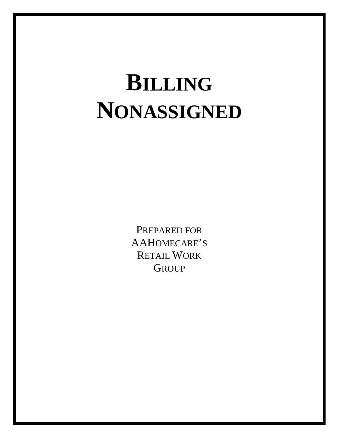# **BILLING NONASSIGNED**

PREPARED FOR AAHOMECARE'S RETAIL WORK **GROUP**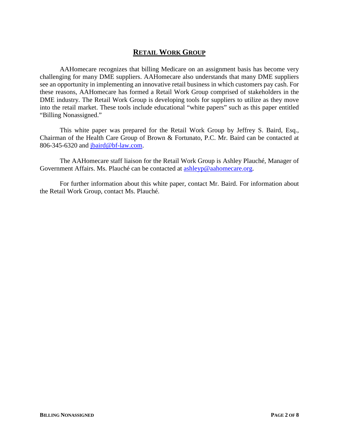# **RETAIL WORK GROUP**

AAHomecare recognizes that billing Medicare on an assignment basis has become very challenging for many DME suppliers. AAHomecare also understands that many DME suppliers see an opportunity in implementing an innovative retail business in which customers pay cash. For these reasons, AAHomecare has formed a Retail Work Group comprised of stakeholders in the DME industry. The Retail Work Group is developing tools for suppliers to utilize as they move into the retail market. These tools include educational "white papers" such as this paper entitled "Billing Nonassigned."

This white paper was prepared for the Retail Work Group by Jeffrey S. Baird, Esq., Chairman of the Health Care Group of Brown & Fortunato, P.C. Mr. Baird can be contacted at 806-345-6320 and [jbaird@bf-law.com.](mailto:jbaird@bf-law.com)

The AAHomecare staff liaison for the Retail Work Group is Ashley Plauché, Manager of Government Affairs. Ms. Plauché can be contacted at [ashleyp@aahomecare.org.](mailto:ashleyp@aahomecare.org)

For further information about this white paper, contact Mr. Baird. For information about the Retail Work Group, contact Ms. Plauché.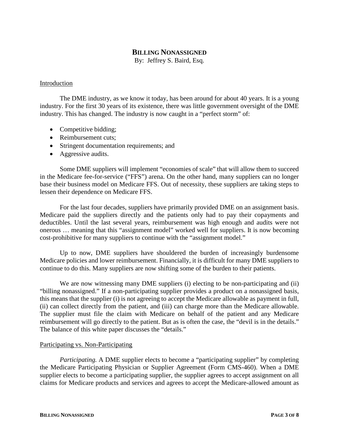# **BILLING NONASSIGNED**

By: Jeffrey S. Baird, Esq.

#### Introduction

The DME industry, as we know it today, has been around for about 40 years. It is a young industry. For the first 30 years of its existence, there was little government oversight of the DME industry. This has changed. The industry is now caught in a "perfect storm" of:

- Competitive bidding;
- Reimbursement cuts:
- Stringent documentation requirements; and
- Aggressive audits.

Some DME suppliers will implement "economies of scale" that will allow them to succeed in the Medicare fee-for-service ("FFS") arena. On the other hand, many suppliers can no longer base their business model on Medicare FFS. Out of necessity, these suppliers are taking steps to lessen their dependence on Medicare FFS.

For the last four decades, suppliers have primarily provided DME on an assignment basis. Medicare paid the suppliers directly and the patients only had to pay their copayments and deductibles. Until the last several years, reimbursement was high enough and audits were not onerous … meaning that this "assignment model" worked well for suppliers. It is now becoming cost-prohibitive for many suppliers to continue with the "assignment model."

Up to now, DME suppliers have shouldered the burden of increasingly burdensome Medicare policies and lower reimbursement. Financially, it is difficult for many DME suppliers to continue to do this. Many suppliers are now shifting some of the burden to their patients.

We are now witnessing many DME suppliers (i) electing to be non-participating and (ii) "billing nonassigned." If a non-participating supplier provides a product on a nonassigned basis, this means that the supplier (i) is not agreeing to accept the Medicare allowable as payment in full, (ii) can collect directly from the patient, and (iii) can charge more than the Medicare allowable. The supplier must file the claim with Medicare on behalf of the patient and any Medicare reimbursement will go directly to the patient. But as is often the case, the "devil is in the details." The balance of this white paper discusses the "details."

#### Participating vs. Non-Participating

*Participating.* A DME supplier elects to become a "participating supplier" by completing the Medicare Participating Physician or Supplier Agreement (Form CMS-460). When a DME supplier elects to become a participating supplier, the supplier agrees to accept assignment on all claims for Medicare products and services and agrees to accept the Medicare-allowed amount as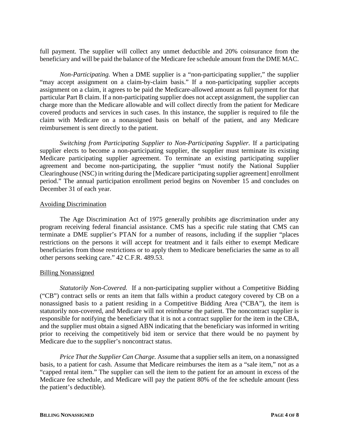full payment. The supplier will collect any unmet deductible and 20% coinsurance from the beneficiary and will be paid the balance of the Medicare fee schedule amount from the DME MAC.

*Non-Participating.* When a DME supplier is a "non-participating supplier," the supplier "may accept assignment on a claim-by-claim basis." If a non-participating supplier accepts assignment on a claim, it agrees to be paid the Medicare-allowed amount as full payment for that particular Part B claim. If a non-participating supplier does not accept assignment, the supplier can charge more than the Medicare allowable and will collect directly from the patient for Medicare covered products and services in such cases. In this instance, the supplier is required to file the claim with Medicare on a nonassigned basis on behalf of the patient, and any Medicare reimbursement is sent directly to the patient.

*Switching from Participating Supplier to Non-Participating Supplier.* If a participating supplier elects to become a non-participating supplier, the supplier must terminate its existing Medicare participating supplier agreement. To terminate an existing participating supplier agreement and become non-participating, the supplier "must notify the National Supplier Clearinghouse (NSC) in writing during the [Medicare participating supplier agreement] enrollment period." The annual participation enrollment period begins on November 15 and concludes on December 31 of each year.

#### Avoiding Discrimination

The Age Discrimination Act of 1975 generally prohibits age discrimination under any program receiving federal financial assistance. CMS has a specific rule stating that CMS can terminate a DME supplier's PTAN for a number of reasons, including if the supplier "places restrictions on the persons it will accept for treatment and it fails either to exempt Medicare beneficiaries from those restrictions or to apply them to Medicare beneficiaries the same as to all other persons seeking care." 42 C.F.R. 489.53.

# Billing Nonassigned

*Statutorily Non-Covered.* If a non-participating supplier without a Competitive Bidding ("CB") contract sells or rents an item that falls within a product category covered by CB on a nonassigned basis to a patient residing in a Competitive Bidding Area ("CBA"), the item is statutorily non-covered, and Medicare will not reimburse the patient. The noncontract supplier is responsible for notifying the beneficiary that it is not a contract supplier for the item in the CBA, and the supplier must obtain a signed ABN indicating that the beneficiary was informed in writing prior to receiving the competitively bid item or service that there would be no payment by Medicare due to the supplier's noncontract status.

*Price That the Supplier Can Charge.* Assume that a supplier sells an item, on a nonassigned basis, to a patient for cash. Assume that Medicare reimburses the item as a "sale item," not as a "capped rental item." The supplier can sell the item to the patient for an amount in excess of the Medicare fee schedule, and Medicare will pay the patient 80% of the fee schedule amount (less the patient's deductible).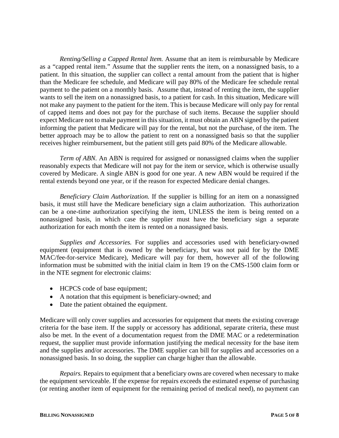*Renting/Selling a Capped Rental Item.* Assume that an item is reimbursable by Medicare as a "capped rental item." Assume that the supplier rents the item, on a nonassigned basis, to a patient. In this situation, the supplier can collect a rental amount from the patient that is higher than the Medicare fee schedule, and Medicare will pay 80% of the Medicare fee schedule rental payment to the patient on a monthly basis. Assume that, instead of renting the item, the supplier wants to sell the item on a nonassigned basis, to a patient for cash. In this situation, Medicare will not make any payment to the patient for the item. This is because Medicare will only pay for rental of capped items and does not pay for the purchase of such items. Because the supplier should expect Medicare not to make payment in this situation, it must obtain an ABN signed by the patient informing the patient that Medicare will pay for the rental, but not the purchase, of the item. The better approach may be to allow the patient to rent on a nonassigned basis so that the supplier receives higher reimbursement, but the patient still gets paid 80% of the Medicare allowable.

*Term of ABN*. An ABN is required for assigned or nonassigned claims when the supplier reasonably expects that Medicare will not pay for the item or service, which is otherwise usually covered by Medicare. A single ABN is good for one year. A new ABN would be required if the rental extends beyond one year, or if the reason for expected Medicare denial changes.

*Beneficiary Claim Authorization.* If the supplier is billing for an item on a nonassigned basis, it must still have the Medicare beneficiary sign a claim authorization. This authorization can be a one-time authorization specifying the item, UNLESS the item is being rented on a nonassigned basis, in which case the supplier must have the beneficiary sign a separate authorization for each month the item is rented on a nonassigned basis.

*Supplies and Accessories.* For supplies and accessories used with beneficiary-owned equipment (equipment that is owned by the beneficiary, but was not paid for by the DME MAC/fee-for-service Medicare), Medicare will pay for them, however all of the following information must be submitted with the initial claim in Item 19 on the CMS-1500 claim form or in the NTE segment for electronic claims:

- HCPCS code of base equipment;
- A notation that this equipment is beneficiary-owned; and
- Date the patient obtained the equipment.

Medicare will only cover supplies and accessories for equipment that meets the existing coverage criteria for the base item. If the supply or accessory has additional, separate criteria, these must also be met. In the event of a documentation request from the DME MAC or a redetermination request, the supplier must provide information justifying the medical necessity for the base item and the supplies and/or accessories. The DME supplier can bill for supplies and accessories on a nonassigned basis. In so doing, the supplier can charge higher than the allowable.

*Repairs.* Repairs to equipment that a beneficiary owns are covered when necessary to make the equipment serviceable. If the expense for repairs exceeds the estimated expense of purchasing (or renting another item of equipment for the remaining period of medical need), no payment can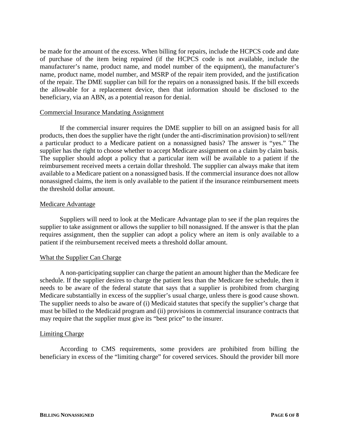be made for the amount of the excess. When billing for repairs, include the HCPCS code and date of purchase of the item being repaired (if the HCPCS code is not available, include the manufacturer's name, product name, and model number of the equipment), the manufacturer's name, product name, model number, and MSRP of the repair item provided, and the justification of the repair. The DME supplier can bill for the repairs on a nonassigned basis. If the bill exceeds the allowable for a replacement device, then that information should be disclosed to the beneficiary, via an ABN, as a potential reason for denial.

#### Commercial Insurance Mandating Assignment

If the commercial insurer requires the DME supplier to bill on an assigned basis for all products, then does the supplier have the right (under the anti-discrimination provision) to sell/rent a particular product to a Medicare patient on a nonassigned basis? The answer is "yes." The supplier has the right to choose whether to accept Medicare assignment on a claim by claim basis. The supplier should adopt a policy that a particular item will be available to a patient if the reimbursement received meets a certain dollar threshold. The supplier can always make that item available to a Medicare patient on a nonassigned basis. If the commercial insurance does not allow nonassigned claims, the item is only available to the patient if the insurance reimbursement meets the threshold dollar amount.

#### Medicare Advantage

Suppliers will need to look at the Medicare Advantage plan to see if the plan requires the supplier to take assignment or allows the supplier to bill nonassigned. If the answer is that the plan requires assignment, then the supplier can adopt a policy where an item is only available to a patient if the reimbursement received meets a threshold dollar amount.

#### What the Supplier Can Charge

A non-participating supplier can charge the patient an amount higher than the Medicare fee schedule. If the supplier desires to charge the patient less than the Medicare fee schedule, then it needs to be aware of the federal statute that says that a supplier is prohibited from charging Medicare substantially in excess of the supplier's usual charge, unless there is good cause shown. The supplier needs to also be aware of (i) Medicaid statutes that specify the supplier's charge that must be billed to the Medicaid program and (ii) provisions in commercial insurance contracts that may require that the supplier must give its "best price" to the insurer.

#### Limiting Charge

According to CMS requirements, some providers are prohibited from billing the beneficiary in excess of the "limiting charge" for covered services. Should the provider bill more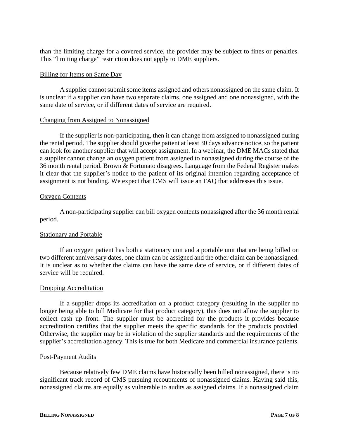than the limiting charge for a covered service, the provider may be subject to fines or penalties. This "limiting charge" restriction does not apply to DME suppliers.

#### Billing for Items on Same Day

A supplier cannot submit some items assigned and others nonassigned on the same claim. It is unclear if a supplier can have two separate claims, one assigned and one nonassigned, with the same date of service, or if different dates of service are required.

#### Changing from Assigned to Nonassigned

If the supplier is non-participating, then it can change from assigned to nonassigned during the rental period. The supplier should give the patient at least 30 days advance notice, so the patient can look for another supplier that will accept assignment. In a webinar, the DME MACs stated that a supplier cannot change an oxygen patient from assigned to nonassigned during the course of the 36 month rental period. Brown & Fortunato disagrees. Language from the Federal Register makes it clear that the supplier's notice to the patient of its original intention regarding acceptance of assignment is not binding. We expect that CMS will issue an FAQ that addresses this issue.

# Oxygen Contents

A non-participating supplier can bill oxygen contents nonassigned after the 36 month rental period.

# Stationary and Portable

If an oxygen patient has both a stationary unit and a portable unit that are being billed on two different anniversary dates, one claim can be assigned and the other claim can be nonassigned. It is unclear as to whether the claims can have the same date of service, or if different dates of service will be required.

#### Dropping Accreditation

If a supplier drops its accreditation on a product category (resulting in the supplier no longer being able to bill Medicare for that product category), this does not allow the supplier to collect cash up front. The supplier must be accredited for the products it provides because accreditation certifies that the supplier meets the specific standards for the products provided. Otherwise, the supplier may be in violation of the supplier standards and the requirements of the supplier's accreditation agency. This is true for both Medicare and commercial insurance patients.

#### Post-Payment Audits

Because relatively few DME claims have historically been billed nonassigned, there is no significant track record of CMS pursuing recoupments of nonassigned claims. Having said this, nonassigned claims are equally as vulnerable to audits as assigned claims. If a nonassigned claim